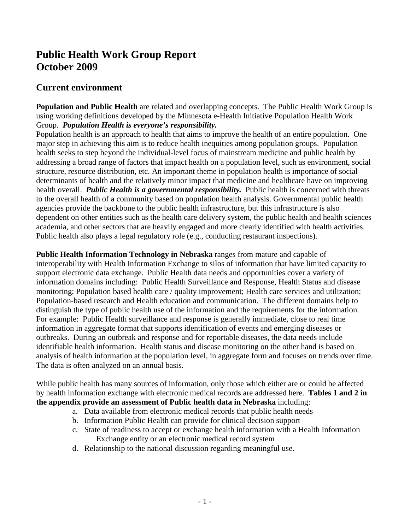# **Public Health Work Group Report October 2009**

## **Current environment**

**Population and Public Health** are related and overlapping concepts. The Public Health Work Group is using working definitions developed by the Minnesota e-Health Initiative Population Health Work Group. *Population Health is everyone's responsibility.*

Population health is an approach to health that aims to improve the health of an entire population. One major step in achieving this aim is to reduce health inequities among population groups. Population health seeks to step beyond the individual-level focus of mainstream medicine and public health by addressing a broad range of factors that impact health on a population level, such as environment, social structure, resource distribution, etc. An important theme in population health is importance of social determinants of health and the relatively minor impact that medicine and healthcare have on improving health overall. *Public Health is a governmental responsibility*. Public health is concerned with threats to the overall health of a community based on population health analysis. Governmental public health agencies provide the backbone to the public health infrastructure, but this infrastructure is also dependent on other entities such as the health care delivery system, the public health and health sciences academia, and other sectors that are heavily engaged and more clearly identified with health activities. Public health also plays a legal regulatory role (e.g., conducting restaurant inspections).

**Public Health Information Technology in Nebraska** ranges from mature and capable of interoperability with Health Information Exchange to silos of information that have limited capacity to support electronic data exchange. Public Health data needs and opportunities cover a variety of information domains including: Public Health Surveillance and Response, Health Status and disease monitoring; Population based health care / quality improvement; Health care services and utilization; Population-based research and Health education and communication. The different domains help to distinguish the type of public health use of the information and the requirements for the information. For example: Public Health surveillance and response is generally immediate, close to real time information in aggregate format that supports identification of events and emerging diseases or outbreaks. During an outbreak and response and for reportable diseases, the data needs include identifiable health information. Health status and disease monitoring on the other hand is based on analysis of health information at the population level, in aggregate form and focuses on trends over time. The data is often analyzed on an annual basis.

While public health has many sources of information, only those which either are or could be affected by health information exchange with electronic medical records are addressed here. **Tables 1 and 2 in the appendix provide an assessment of Public health data in Nebraska** including:

- a. Data available from electronic medical records that public health needs
- b. Information Public Health can provide for clinical decision support
- c. State of readiness to accept or exchange health information with a Health Information Exchange entity or an electronic medical record system
- d. Relationship to the national discussion regarding meaningful use.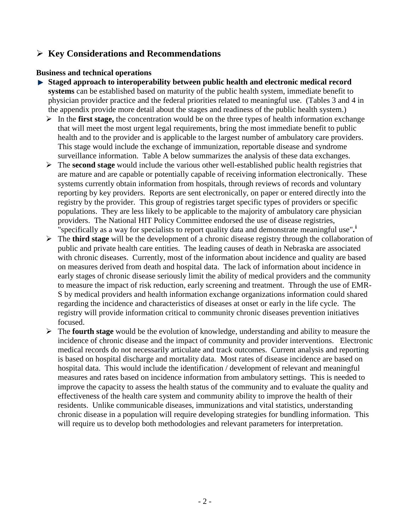## **Key Considerations and Recommendations**

#### **Business and technical operations**

- **Staged approach to interoperability between public health and electronic medical record systems** can be established based on maturity of the public health system, immediate benefit to physician provider practice and the federal priorities related to meaningful use. (Tables 3 and 4 in the appendix provide more detail about the stages and readiness of the public health system.)
	- $\triangleright$  In the **first stage,** the concentration would be on the three types of health information exchange that will meet the most urgent legal requirements, bring the most immediate benefit to public health and to the provider and is applicable to the largest number of ambulatory care providers. This stage would include the exchange of immunization, reportable disease and syndrome surveillance information. Table A below summarizes the analysis of these data exchanges.
	- The **second stage** would include the various other well-established public health registries that are mature and are capable or potentially capable of receiving information electronically. These systems currently obtain information from hospitals, through reviews of records and voluntary reporting by key providers. Reports are sent electronically, on paper or entered directly into the registry by the provider. This group of registries target specific types of providers or specific populations. They are less likely to be applicable to the majority of ambulatory care physician providers. The National HIT Policy Committee endorsed the use of disease registries, "specifically as a way for specialists to report quality data and demonstrate meaningful use"**. [i](#page-12-0)**
	- The **third stage** will be the development of a chronic disease registry through the collaboration of public and private health care entities. The leading causes of death in Nebraska are associated with chronic diseases. Currently, most of the information about incidence and quality are based on measures derived from death and hospital data. The lack of information about incidence in early stages of chronic disease seriously limit the ability of medical providers and the community to measure the impact of risk reduction, early screening and treatment. Through the use of EMR-S by medical providers and health information exchange organizations information could shared regarding the incidence and characteristics of diseases at onset or early in the life cycle. The registry will provide information critical to community chronic diseases prevention initiatives focused.
	- The **fourth stage** would be the evolution of knowledge, understanding and ability to measure the incidence of chronic disease and the impact of community and provider interventions. Electronic medical records do not necessarily articulate and track outcomes. Current analysis and reporting is based on hospital discharge and mortality data. Most rates of disease incidence are based on hospital data. This would include the identification / development of relevant and meaningful measures and rates based on incidence information from ambulatory settings. This is needed to improve the capacity to assess the health status of the community and to evaluate the quality and effectiveness of the health care system and community ability to improve the health of their residents. Unlike communicable diseases, immunizations and vital statistics, understanding chronic disease in a population will require developing strategies for bundling information. This will require us to develop both methodologies and relevant parameters for interpretation.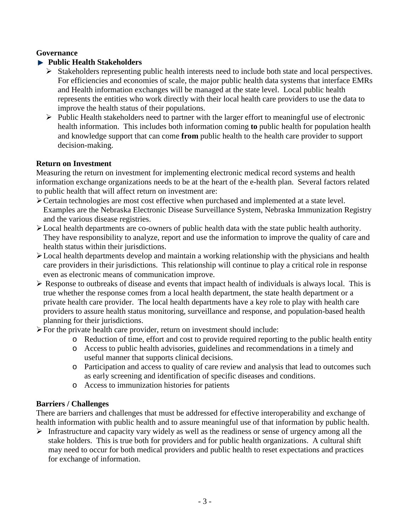#### **Governance**

#### **Public Health Stakeholders**

- $\triangleright$  Stakeholders representing public health interests need to include both state and local perspectives. For efficiencies and economies of scale, the major public health data systems that interface EMRs and Health information exchanges will be managed at the state level. Local public health represents the entities who work directly with their local health care providers to use the data to improve the health status of their populations.
- $\triangleright$  Public Health stakeholders need to partner with the larger effort to meaningful use of electronic health information. This includes both information coming **to** public health for population health and knowledge support that can come **from** public health to the health care provider to support decision-making.

#### **Return on Investment**

Measuring the return on investment for implementing electronic medical record systems and health information exchange organizations needs to be at the heart of the e-health plan. Several factors related to public health that will affect return on investment are:

- Certain technologies are most cost effective when purchased and implemented at a state level. Examples are the Nebraska Electronic Disease Surveillance System, Nebraska Immunization Registry and the various disease registries.
- Local health departments are co-owners of public health data with the state public health authority. They have responsibility to analyze, report and use the information to improve the quality of care and health status within their jurisdictions.
- Example 1 and health departments develop and maintain a working relationship with the physicians and health care providers in their jurisdictions. This relationship will continue to play a critical role in response even as electronic means of communication improve.
- $\triangleright$  Response to outbreaks of disease and events that impact health of individuals is always local. This is true whether the response comes from a local health department, the state health department or a private health care provider. The local health departments have a key role to play with health care providers to assure health status monitoring, surveillance and response, and population-based health planning for their jurisdictions.
- $\triangleright$  For the private health care provider, return on investment should include:
	- o Reduction of time, effort and cost to provide required reporting to the public health entity
	- o Access to public health advisories, guidelines and recommendations in a timely and useful manner that supports clinical decisions.
	- o Participation and access to quality of care review and analysis that lead to outcomes such as early screening and identification of specific diseases and conditions.
	- o Access to immunization histories for patients

### **Barriers / Challenges**

There are barriers and challenges that must be addressed for effective interoperability and exchange of health information with public health and to assure meaningful use of that information by public health.

 $\triangleright$  Infrastructure and capacity vary widely as well as the readiness or sense of urgency among all the stake holders. This is true both for providers and for public health organizations. A cultural shift may need to occur for both medical providers and public health to reset expectations and practices for exchange of information.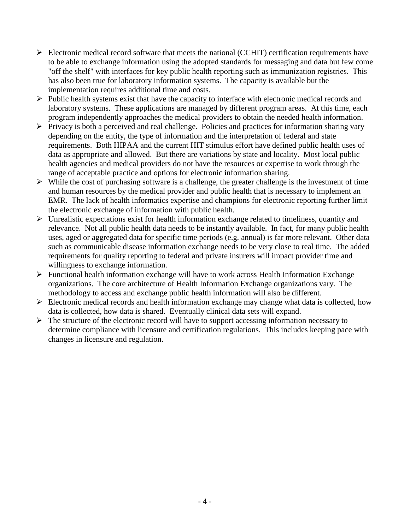- $\triangleright$  Electronic medical record software that meets the national (CCHIT) certification requirements have to be able to exchange information using the adopted standards for messaging and data but few come "off the shelf" with interfaces for key public health reporting such as immunization registries. This has also been true for laboratory information systems. The capacity is available but the implementation requires additional time and costs.
- $\triangleright$  Public health systems exist that have the capacity to interface with electronic medical records and laboratory systems. These applications are managed by different program areas. At this time, each program independently approaches the medical providers to obtain the needed health information.
- $\triangleright$  Privacy is both a perceived and real challenge. Policies and practices for information sharing vary depending on the entity, the type of information and the interpretation of federal and state requirements. Both HIPAA and the current HIT stimulus effort have defined public health uses of data as appropriate and allowed. But there are variations by state and locality. Most local public health agencies and medical providers do not have the resources or expertise to work through the range of acceptable practice and options for electronic information sharing.
- $\triangleright$  While the cost of purchasing software is a challenge, the greater challenge is the investment of time and human resources by the medical provider and public health that is necessary to implement an EMR. The lack of health informatics expertise and champions for electronic reporting further limit the electronic exchange of information with public health.
- $\triangleright$  Unrealistic expectations exist for health information exchange related to timeliness, quantity and relevance. Not all public health data needs to be instantly available. In fact, for many public health uses, aged or aggregated data for specific time periods (e.g. annual) is far more relevant. Other data such as communicable disease information exchange needs to be very close to real time. The added requirements for quality reporting to federal and private insurers will impact provider time and willingness to exchange information.
- $\triangleright$  Functional health information exchange will have to work across Health Information Exchange organizations. The core architecture of Health Information Exchange organizations vary. The methodology to access and exchange public health information will also be different.
- $\triangleright$  Electronic medical records and health information exchange may change what data is collected, how data is collected, how data is shared. Eventually clinical data sets will expand.
- $\triangleright$  The structure of the electronic record will have to support accessing information necessary to determine compliance with licensure and certification regulations. This includes keeping pace with changes in licensure and regulation.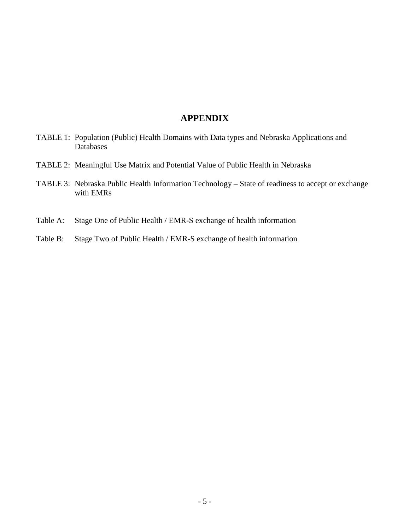#### **APPENDIX**

- TABLE 1: Population (Public) Health Domains with Data types and Nebraska Applications and Databases
- TABLE 2: Meaningful Use Matrix and Potential Value of Public Health in Nebraska
- TABLE 3: Nebraska Public Health Information Technology State of readiness to accept or exchange with EMRs
- Table A: Stage One of Public Health / EMR-S exchange of health information
- Table B: Stage Two of Public Health / EMR-S exchange of health information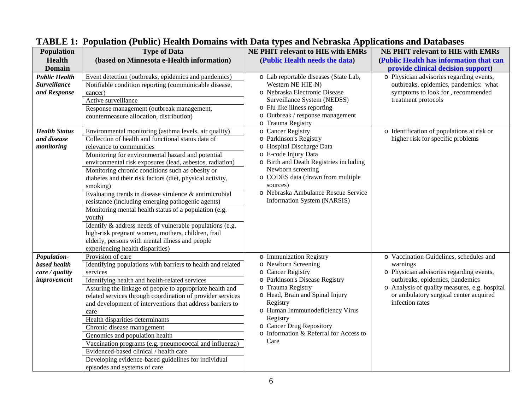| <b>Type of Data</b><br><b>Population</b><br>(based on Minnesota e-Health information)<br>Health<br>(Public Health needs the data)<br>(Public Health has information that can<br><b>Domain</b><br>provide clinical decision support)<br>o Physician advisories regarding events,<br><b>Public Health</b><br>Event detection (outbreaks, epidemics and pandemics)<br>o Lab reportable diseases (State Lab,<br><b>Surveillance</b><br>Notifiable condition reporting (communicable disease,<br>Western NE HIE-N)<br>outbreaks, epidemics, pandemics: what<br>symptoms to look for, recommended<br>o Nebraska Electronic Disease<br>and Response<br>cancer)<br>Surveillance System (NEDSS)<br>Active surveillance<br>treatment protocols<br>o Flu like illness reporting<br>Response management (outbreak management,<br>o Outbreak / response management<br>countermeasure allocation, distribution) |  |
|---------------------------------------------------------------------------------------------------------------------------------------------------------------------------------------------------------------------------------------------------------------------------------------------------------------------------------------------------------------------------------------------------------------------------------------------------------------------------------------------------------------------------------------------------------------------------------------------------------------------------------------------------------------------------------------------------------------------------------------------------------------------------------------------------------------------------------------------------------------------------------------------------|--|
|                                                                                                                                                                                                                                                                                                                                                                                                                                                                                                                                                                                                                                                                                                                                                                                                                                                                                                   |  |
|                                                                                                                                                                                                                                                                                                                                                                                                                                                                                                                                                                                                                                                                                                                                                                                                                                                                                                   |  |
|                                                                                                                                                                                                                                                                                                                                                                                                                                                                                                                                                                                                                                                                                                                                                                                                                                                                                                   |  |
|                                                                                                                                                                                                                                                                                                                                                                                                                                                                                                                                                                                                                                                                                                                                                                                                                                                                                                   |  |
|                                                                                                                                                                                                                                                                                                                                                                                                                                                                                                                                                                                                                                                                                                                                                                                                                                                                                                   |  |
|                                                                                                                                                                                                                                                                                                                                                                                                                                                                                                                                                                                                                                                                                                                                                                                                                                                                                                   |  |
|                                                                                                                                                                                                                                                                                                                                                                                                                                                                                                                                                                                                                                                                                                                                                                                                                                                                                                   |  |
|                                                                                                                                                                                                                                                                                                                                                                                                                                                                                                                                                                                                                                                                                                                                                                                                                                                                                                   |  |
| o Trauma Registry                                                                                                                                                                                                                                                                                                                                                                                                                                                                                                                                                                                                                                                                                                                                                                                                                                                                                 |  |
| o Identification of populations at risk or<br>o Cancer Registry<br><b>Health Status</b><br>Environmental monitoring (asthma levels, air quality)                                                                                                                                                                                                                                                                                                                                                                                                                                                                                                                                                                                                                                                                                                                                                  |  |
| o Parkinson's Registry<br>higher risk for specific problems<br>and disease<br>Collection of health and functional status data of                                                                                                                                                                                                                                                                                                                                                                                                                                                                                                                                                                                                                                                                                                                                                                  |  |
| o Hospital Discharge Data<br>monitoring<br>relevance to communities                                                                                                                                                                                                                                                                                                                                                                                                                                                                                                                                                                                                                                                                                                                                                                                                                               |  |
| o E-code Injury Data<br>Monitoring for environmental hazard and potential                                                                                                                                                                                                                                                                                                                                                                                                                                                                                                                                                                                                                                                                                                                                                                                                                         |  |
| o Birth and Death Registries including<br>environmental risk exposures (lead, asbestos, radiation)                                                                                                                                                                                                                                                                                                                                                                                                                                                                                                                                                                                                                                                                                                                                                                                                |  |
| Newborn screening<br>Monitoring chronic conditions such as obesity or<br>o CODES data (drawn from multiple                                                                                                                                                                                                                                                                                                                                                                                                                                                                                                                                                                                                                                                                                                                                                                                        |  |
| diabetes and their risk factors (diet, physical activity,<br>sources)                                                                                                                                                                                                                                                                                                                                                                                                                                                                                                                                                                                                                                                                                                                                                                                                                             |  |
| smoking)<br>o Nebraska Ambulance Rescue Service<br>Evaluating trends in disease virulence & antimicrobial                                                                                                                                                                                                                                                                                                                                                                                                                                                                                                                                                                                                                                                                                                                                                                                         |  |
| Information System (NARSIS)<br>resistance (including emerging pathogenic agents)                                                                                                                                                                                                                                                                                                                                                                                                                                                                                                                                                                                                                                                                                                                                                                                                                  |  |
| Monitoring mental health status of a population (e.g.                                                                                                                                                                                                                                                                                                                                                                                                                                                                                                                                                                                                                                                                                                                                                                                                                                             |  |
| youth)                                                                                                                                                                                                                                                                                                                                                                                                                                                                                                                                                                                                                                                                                                                                                                                                                                                                                            |  |
| Identify & address needs of vulnerable populations (e.g.                                                                                                                                                                                                                                                                                                                                                                                                                                                                                                                                                                                                                                                                                                                                                                                                                                          |  |
| high-risk pregnant women, mothers, children, frail                                                                                                                                                                                                                                                                                                                                                                                                                                                                                                                                                                                                                                                                                                                                                                                                                                                |  |
| elderly, persons with mental illness and people                                                                                                                                                                                                                                                                                                                                                                                                                                                                                                                                                                                                                                                                                                                                                                                                                                                   |  |
| experiencing health disparities)                                                                                                                                                                                                                                                                                                                                                                                                                                                                                                                                                                                                                                                                                                                                                                                                                                                                  |  |
| Provision of care<br>o Vaccination Guidelines, schedules and<br>Population-<br>o Immunization Registry                                                                                                                                                                                                                                                                                                                                                                                                                                                                                                                                                                                                                                                                                                                                                                                            |  |
| based health<br>o Newborn Screening<br>Identifying populations with barriers to health and related<br>warnings                                                                                                                                                                                                                                                                                                                                                                                                                                                                                                                                                                                                                                                                                                                                                                                    |  |
| o Cancer Registry<br>o Physician advisories regarding events,<br>care / quality<br>services                                                                                                                                                                                                                                                                                                                                                                                                                                                                                                                                                                                                                                                                                                                                                                                                       |  |
| outbreaks, epidemics, pandemics<br>o Parkinson's Disease Registry<br>Identifying health and health-related services<br>improvement                                                                                                                                                                                                                                                                                                                                                                                                                                                                                                                                                                                                                                                                                                                                                                |  |
| o Analysis of quality measures, e.g. hospital<br>o Trauma Registry<br>Assuring the linkage of people to appropriate health and                                                                                                                                                                                                                                                                                                                                                                                                                                                                                                                                                                                                                                                                                                                                                                    |  |
| o Head, Brain and Spinal Injury<br>or ambulatory surgical center acquired<br>related services through coordination of provider services                                                                                                                                                                                                                                                                                                                                                                                                                                                                                                                                                                                                                                                                                                                                                           |  |
| infection rates<br>Registry<br>and development of interventions that address barriers to                                                                                                                                                                                                                                                                                                                                                                                                                                                                                                                                                                                                                                                                                                                                                                                                          |  |
| o Human Inmmunodeficiency Virus<br>care<br>Registry                                                                                                                                                                                                                                                                                                                                                                                                                                                                                                                                                                                                                                                                                                                                                                                                                                               |  |
| Health disparities determinants<br>o Cancer Drug Repository                                                                                                                                                                                                                                                                                                                                                                                                                                                                                                                                                                                                                                                                                                                                                                                                                                       |  |
| Chronic disease management<br>o Information & Referral for Access to                                                                                                                                                                                                                                                                                                                                                                                                                                                                                                                                                                                                                                                                                                                                                                                                                              |  |
| Genomics and population health<br>Care                                                                                                                                                                                                                                                                                                                                                                                                                                                                                                                                                                                                                                                                                                                                                                                                                                                            |  |
| Vaccination programs (e.g. pneumococcal and influenza)<br>Evidenced-based clinical / health care                                                                                                                                                                                                                                                                                                                                                                                                                                                                                                                                                                                                                                                                                                                                                                                                  |  |
| Developing evidence-based guidelines for individual                                                                                                                                                                                                                                                                                                                                                                                                                                                                                                                                                                                                                                                                                                                                                                                                                                               |  |
| episodes and systems of care                                                                                                                                                                                                                                                                                                                                                                                                                                                                                                                                                                                                                                                                                                                                                                                                                                                                      |  |

## **TABLE 1: Population (Public) Health Domains with Data types and Nebraska Applications and Databases**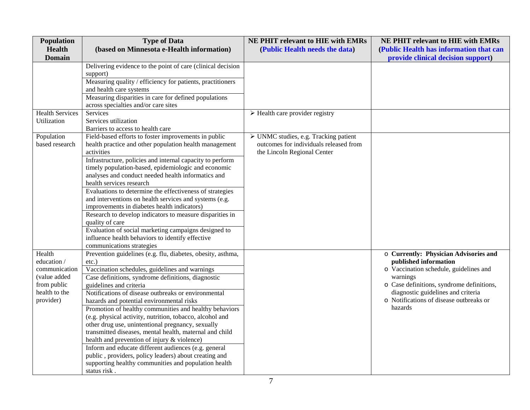| Population             | <b>Type of Data</b>                                                                                                | NE PHIT relevant to HIE with EMRs                    | NE PHIT relevant to HIE with EMRs         |
|------------------------|--------------------------------------------------------------------------------------------------------------------|------------------------------------------------------|-------------------------------------------|
| <b>Health</b>          | (based on Minnesota e-Health information)                                                                          | (Public Health needs the data)                       | (Public Health has information that can   |
| <b>Domain</b>          |                                                                                                                    |                                                      | provide clinical decision support)        |
|                        | Delivering evidence to the point of care (clinical decision                                                        |                                                      |                                           |
|                        | support)                                                                                                           |                                                      |                                           |
|                        | Measuring quality / efficiency for patients, practitioners                                                         |                                                      |                                           |
|                        | and health care systems                                                                                            |                                                      |                                           |
|                        | Measuring disparities in care for defined populations                                                              |                                                      |                                           |
|                        | across specialties and/or care sites                                                                               |                                                      |                                           |
| <b>Health Services</b> | <b>Services</b>                                                                                                    | $\triangleright$ Health care provider registry       |                                           |
| Utilization            | Services utilization                                                                                               |                                                      |                                           |
|                        | Barriers to access to health care                                                                                  |                                                      |                                           |
| Population             | Field-based efforts to foster improvements in public                                                               | $\triangleright$ UNMC studies, e.g. Tracking patient |                                           |
| based research         | health practice and other population health management                                                             | outcomes for individuals released from               |                                           |
|                        | activities                                                                                                         | the Lincoln Regional Center                          |                                           |
|                        | Infrastructure, policies and internal capacity to perform                                                          |                                                      |                                           |
|                        | timely population-based, epidemiologic and economic                                                                |                                                      |                                           |
|                        | analyses and conduct needed health informatics and                                                                 |                                                      |                                           |
|                        | health services research                                                                                           |                                                      |                                           |
|                        | Evaluations to determine the effectiveness of strategies<br>and interventions on health services and systems (e.g. |                                                      |                                           |
|                        | improvements in diabetes health indicators)                                                                        |                                                      |                                           |
|                        | Research to develop indicators to measure disparities in                                                           |                                                      |                                           |
|                        | quality of care                                                                                                    |                                                      |                                           |
|                        | Evaluation of social marketing campaigns designed to                                                               |                                                      |                                           |
|                        | influence health behaviors to identify effective                                                                   |                                                      |                                           |
|                        | communications strategies                                                                                          |                                                      |                                           |
| Health                 | Prevention guidelines (e.g. flu, diabetes, obesity, asthma,                                                        |                                                      | o Currently: Physician Advisories and     |
| education /            | $etc.$ )                                                                                                           |                                                      | published information                     |
| communication          | Vaccination schedules, guidelines and warnings                                                                     |                                                      | o Vaccination schedule, guidelines and    |
| (value added           | Case definitions, syndrome definitions, diagnostic                                                                 |                                                      | warnings                                  |
| from public            | guidelines and criteria                                                                                            |                                                      | o Case definitions, syndrome definitions, |
| health to the          | Notifications of disease outbreaks or environmental                                                                |                                                      | diagnostic guidelines and criteria        |
| provider)              | hazards and potential environmental risks                                                                          |                                                      | o Notifications of disease outbreaks or   |
|                        | Promotion of healthy communities and healthy behaviors                                                             |                                                      | hazards                                   |
|                        | (e.g. physical activity, nutrition, tobacco, alcohol and                                                           |                                                      |                                           |
|                        | other drug use, unintentional pregnancy, sexually                                                                  |                                                      |                                           |
|                        | transmitted diseases, mental health, maternal and child                                                            |                                                      |                                           |
|                        | health and prevention of injury & violence)                                                                        |                                                      |                                           |
|                        | Inform and educate different audiences (e.g. general                                                               |                                                      |                                           |
|                        | public, providers, policy leaders) about creating and                                                              |                                                      |                                           |
|                        | supporting healthy communities and population health                                                               |                                                      |                                           |
|                        | status risk.                                                                                                       |                                                      |                                           |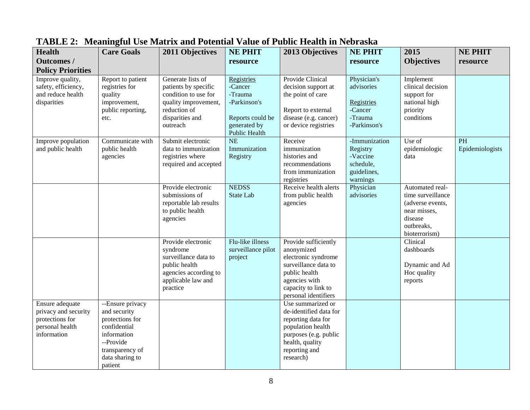| <b>Health</b><br><b>Outcomes /</b><br><b>Policy Priorities</b>                               | <b>Care Goals</b>                                                                                                                                | 2011 Objectives                                                                                                                          | <b>NE PHIT</b><br>resource                                                                                   | 2013 Objectives                                                                                                                                                    | <b>NE PHIT</b><br>resource                                                    | 2015<br><b>Objectives</b>                                                                                          | <b>NE PHIT</b><br>resource |
|----------------------------------------------------------------------------------------------|--------------------------------------------------------------------------------------------------------------------------------------------------|------------------------------------------------------------------------------------------------------------------------------------------|--------------------------------------------------------------------------------------------------------------|--------------------------------------------------------------------------------------------------------------------------------------------------------------------|-------------------------------------------------------------------------------|--------------------------------------------------------------------------------------------------------------------|----------------------------|
| Improve quality,<br>safety, efficiency,<br>and reduce health<br>disparities                  | Report to patient<br>registries for<br>quality<br>improvement,<br>public reporting,<br>etc.                                                      | Generate lists of<br>patients by specific<br>condition to use for<br>quality improvement,<br>reduction of<br>disparities and<br>outreach | Registries<br>-Cancer<br>-Trauma<br>-Parkinson's<br>Reports could be<br>generated by<br><b>Public Health</b> | <b>Provide Clinical</b><br>decision support at<br>the point of care<br>Report to external<br>disease (e.g. cancer)<br>or device registries                         | Physician's<br>advisories<br>Registries<br>-Cancer<br>-Trauma<br>-Parkinson's | Implement<br>clinical decision<br>support for<br>national high<br>priority<br>conditions                           |                            |
| Improve population<br>and public health                                                      | Communicate with<br>public health<br>agencies                                                                                                    | Submit electronic<br>data to immunization<br>registries where<br>required and accepted                                                   | $\overline{\text{NE}}$<br>Immunization<br>Registry                                                           | Receive<br>immunization<br>histories and<br>recommendations<br>from immunization<br>registries                                                                     | -Immunization<br>Registry<br>-Vaccine<br>schedule,<br>guidelines,<br>warnings | Use of<br>epidemiologic<br>data                                                                                    | PH<br>Epidemiologists      |
|                                                                                              |                                                                                                                                                  | Provide electronic<br>submissions of<br>reportable lab results<br>to public health<br>agencies                                           | <b>NEDSS</b><br>State Lab                                                                                    | Receive health alerts<br>from public health<br>agencies                                                                                                            | Physician<br>advisories                                                       | Automated real-<br>time surveillance<br>(adverse events,<br>near misses,<br>disease<br>outbreaks,<br>bioterrorism) |                            |
|                                                                                              |                                                                                                                                                  | Provide electronic<br>syndrome<br>surveillance data to<br>public health<br>agencies according to<br>applicable law and<br>practice       | Flu-like illness<br>surveillance pilot<br>project                                                            | Provide sufficiently<br>anonymized<br>electronic syndrome<br>surveillance data to<br>public health<br>agencies with<br>capacity to link to<br>personal identifiers |                                                                               | Clinical<br>dashboards<br>Dynamic and Ad<br>Hoc quality<br>reports                                                 |                            |
| Ensure adequate<br>privacy and security<br>protections for<br>personal health<br>information | --Ensure privacy<br>and security<br>protections for<br>confidential<br>information<br>--Provide<br>transparency of<br>data sharing to<br>patient |                                                                                                                                          |                                                                                                              | Use summarized or<br>de-identified data for<br>reporting data for<br>population health<br>purposes (e.g. public<br>health, quality<br>reporting and<br>research)   |                                                                               |                                                                                                                    |                            |

## **TABLE 2: Meaningful Use Matrix and Potential Value of Public Health in Nebraska**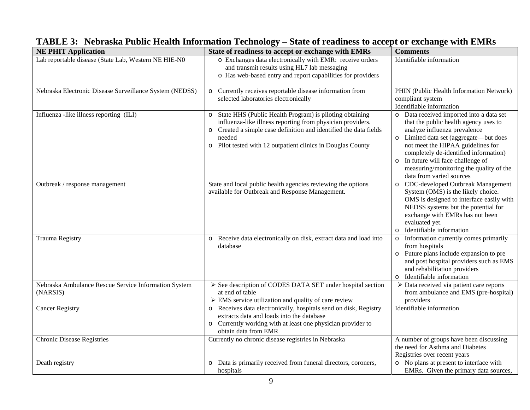| <b>NE PHIT Application</b>                                       | State of readiness to accept or exchange with EMRs                                                                                                                                                                                                              | <b>Comments</b>                                                                                                                                                                                                                                                                                                                                        |
|------------------------------------------------------------------|-----------------------------------------------------------------------------------------------------------------------------------------------------------------------------------------------------------------------------------------------------------------|--------------------------------------------------------------------------------------------------------------------------------------------------------------------------------------------------------------------------------------------------------------------------------------------------------------------------------------------------------|
| Lab reportable disease (State Lab, Western NE HIE-N0             | o Exchanges data electronically with EMR: receive orders<br>and transmit results using HL7 lab messaging<br>o Has web-based entry and report capabilities for providers                                                                                         | Identifiable information                                                                                                                                                                                                                                                                                                                               |
| Nebraska Electronic Disease Surveillance System (NEDSS)          | o Currently receives reportable disease information from<br>selected laboratories electronically                                                                                                                                                                | PHIN (Public Health Information Network)<br>compliant system<br>Identifiable information                                                                                                                                                                                                                                                               |
| Influenza -like illness reporting (ILI)                          | State HHS (Public Health Program) is piloting obtaining<br>influenza-like illness reporting from physician providers.<br>Created a simple case definition and identified the data fields<br>needed<br>Pilot tested with 12 outpatient clinics in Douglas County | o Data received imported into a data set<br>that the public health agency uses to<br>analyze influenza prevalence<br>o Limited data set (aggregate-but does<br>not meet the HIPAA guidelines for<br>completely de-identified information)<br>o In future will face challenge of<br>measuring/monitoring the quality of the<br>data from varied sources |
| Outbreak / response management                                   | State and local public health agencies reviewing the options<br>available for Outbreak and Response Management.                                                                                                                                                 | o CDC-developed Outbreak Management<br>System (OMS) is the likely choice.<br>OMS is designed to interface easily with<br>NEDSS systems but the potential for<br>exchange with EMRs has not been<br>evaluated yet.<br>Identifiable information                                                                                                          |
| <b>Trauma Registry</b>                                           | Receive data electronically on disk, extract data and load into<br>$\circ$<br>database                                                                                                                                                                          | o Information currently comes primarily<br>from hospitals<br>o Future plans include expansion to pre<br>and post hospital providers such as EMS<br>and rehabilitation providers<br>o Identifiable information                                                                                                                                          |
| Nebraska Ambulance Rescue Service Information System<br>(NARSIS) | > See description of CODES DATA SET under hospital section<br>at end of table<br>$\triangleright$ EMS service utilization and quality of care review                                                                                                            | > Data received via patient care reports<br>from ambulance and EMS (pre-hospital)<br>providers                                                                                                                                                                                                                                                         |
| <b>Cancer Registry</b>                                           | Receives data electronically, hospitals send on disk, Registry<br>extracts data and loads into the database<br>Currently working with at least one physician provider to<br>obtain data from EMR                                                                | Identifiable information                                                                                                                                                                                                                                                                                                                               |
| <b>Chronic Disease Registries</b>                                | Currently no chronic disease registries in Nebraska                                                                                                                                                                                                             | A number of groups have been discussing<br>the need for Asthma and Diabetes<br>Registries over recent years                                                                                                                                                                                                                                            |
| Death registry                                                   | o Data is primarily received from funeral directors, coroners,<br>hospitals                                                                                                                                                                                     | o No plans at present to interface with<br>EMRs. Given the primary data sources,                                                                                                                                                                                                                                                                       |

## **TABLE 3: Nebraska Public Health Information Technology – State of readiness to accept or exchange with EMRs**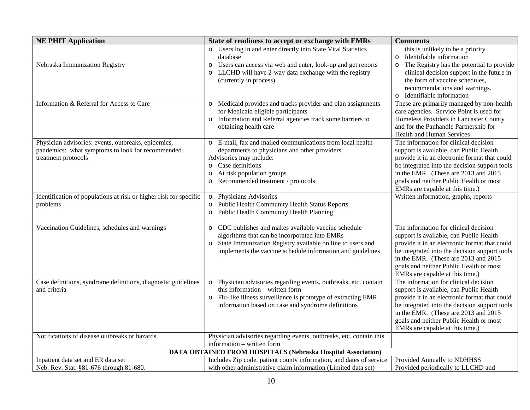| <b>NE PHIT Application</b>                                                                                                     | State of readiness to accept or exchange with EMRs                                                                                                                                                                                                         | <b>Comments</b>                                                                                                                                                                                                                                                                                           |  |  |  |
|--------------------------------------------------------------------------------------------------------------------------------|------------------------------------------------------------------------------------------------------------------------------------------------------------------------------------------------------------------------------------------------------------|-----------------------------------------------------------------------------------------------------------------------------------------------------------------------------------------------------------------------------------------------------------------------------------------------------------|--|--|--|
|                                                                                                                                | Users log in and enter directly into State Vital Statistics<br>$\circ$                                                                                                                                                                                     | this is unlikely to be a priority                                                                                                                                                                                                                                                                         |  |  |  |
|                                                                                                                                | database                                                                                                                                                                                                                                                   | o Identifiable information                                                                                                                                                                                                                                                                                |  |  |  |
| Nebraska Immunization Registry                                                                                                 | Users can access via web and enter, look-up and get reports<br>$\circ$<br>LLCHD will have 2-way data exchange with the registry<br>(currently in process)                                                                                                  | o The Registry has the potential to provide<br>clinical decision support in the future in<br>the form of vaccine schedules,<br>recommendations and warnings.<br>o Identifiable information                                                                                                                |  |  |  |
| Information & Referral for Access to Care                                                                                      | Medicaid provides and tracks provider and plan assignments<br>for Medicaid eligible participants<br>Information and Referral agencies track some barriers to<br>$\circ$<br>obtaining health care                                                           | These are primarily managed by non-health<br>care agencies. Service Point is used for<br>Homeless Providers in Lancaster County<br>and for the Panhandle Partnership for<br>Health and Human Services                                                                                                     |  |  |  |
| Physician advisories: events, outbreaks, epidemics,<br>pandemics: what symptoms to look for recommended<br>treatment protocols | E-mail, fax and mailed communications from local health<br>$\circ$<br>departments to physicians and other providers<br>Advisories may include:<br>Case definitions<br>$\circ$<br>At risk population groups<br>$\circ$<br>Recommended treatment / protocols | The information for clinical decision<br>support is available, can Public Health<br>provide it in an electronic format that could<br>be integrated into the decision support tools<br>in the EMR. (These are 2013 and 2015<br>goals and neither Public Health or most<br>EMRs are capable at this time.)  |  |  |  |
| Identification of populations at risk or higher risk for specific<br>problems                                                  | Physicians Advisories<br>$\circ$<br><b>Public Health Community Health Status Reports</b><br>o Public Health Community Health Planning                                                                                                                      | Written information, graphs, reports                                                                                                                                                                                                                                                                      |  |  |  |
| Vaccination Guidelines, schedules and warnings                                                                                 | CDC publishes and makes available vaccine schedule<br>$\circ$<br>algorithms that can be incorporated into EMRs<br>State Immunization Registry available on line to users and<br>implements the vaccine schedule information and guidelines                 | The information for clinical decision<br>support is available, can Public Health<br>provide it in an electronic format that could<br>be integrated into the decision support tools<br>in the EMR. (These are 2013 and 2015<br>goals and neither Public Health or most<br>EMRs are capable at this time.)  |  |  |  |
| Case definitions, syndrome definitions, diagnostic guidelines<br>and criteria                                                  | Physician advisories regarding events, outbreaks, etc. contain<br>$\circ$<br>this information – written form<br>Flu-like illness surveillance is prototype of extracting EMR<br>$\circ$<br>information based on case and syndrome definitions              | The information for clinical decision<br>support is available, can Public Health<br>provide it in an electronic format that could<br>be integrated into the decision support tools<br>in the EMR. (These are 2013 and 2015)<br>goals and neither Public Health or most<br>EMRs are capable at this time.) |  |  |  |
| Notifications of disease outbreaks or hazards                                                                                  | Physician advisories regarding events, outbreaks, etc. contain this                                                                                                                                                                                        |                                                                                                                                                                                                                                                                                                           |  |  |  |
| information - written form                                                                                                     |                                                                                                                                                                                                                                                            |                                                                                                                                                                                                                                                                                                           |  |  |  |
| DATA OBTAINED FROM HOSPITALS (Nebraska Hospital Association)                                                                   |                                                                                                                                                                                                                                                            |                                                                                                                                                                                                                                                                                                           |  |  |  |
| Inpatient data set and ER data set                                                                                             | Includes Zip code, patient county information, and dates of service                                                                                                                                                                                        | Provided Annually to NDHHSS                                                                                                                                                                                                                                                                               |  |  |  |
| Neb. Rev. Stat. §81-676 through 81-680.                                                                                        | with other administrative claim information (Limited data set)                                                                                                                                                                                             | Provided periodically to LLCHD and                                                                                                                                                                                                                                                                        |  |  |  |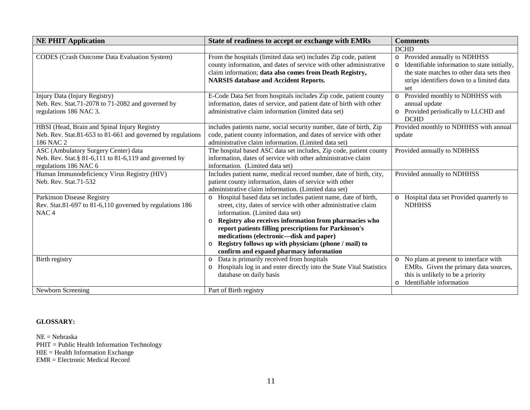| <b>NE PHIT Application</b>                                                                                               | State of readiness to accept or exchange with EMRs                                                                                                                                                                                                                                                                                                                                                                                              | <b>Comments</b>                                                                                                                                                                  |
|--------------------------------------------------------------------------------------------------------------------------|-------------------------------------------------------------------------------------------------------------------------------------------------------------------------------------------------------------------------------------------------------------------------------------------------------------------------------------------------------------------------------------------------------------------------------------------------|----------------------------------------------------------------------------------------------------------------------------------------------------------------------------------|
|                                                                                                                          |                                                                                                                                                                                                                                                                                                                                                                                                                                                 | <b>DCHD</b>                                                                                                                                                                      |
| <b>CODES</b> (Crash Outcome Data Evaluation System)                                                                      | From the hospitals (limited data set) includes Zip code, patient<br>county information, and dates of service with other administrative<br>claim information; data also comes from Death Registry,<br><b>NARSIS</b> database and Accident Reports.                                                                                                                                                                                               | o Provided annually to NDHHSS<br>o Identifiable information to state initially,<br>the state matches to other data sets then<br>strips identifiers down to a limited data<br>set |
| Injury Data (Injury Registry)<br>Neb. Rev. Stat.71-2078 to 71-2082 and governed by<br>regulations 186 NAC 3.             | E-Code Data Set from hospitals includes Zip code, patient county<br>information, dates of service, and patient date of birth with other<br>administrative claim information (limited data set)                                                                                                                                                                                                                                                  | o Provided monthly to NDHHSS with<br>annual update<br>o Provided periodically to LLCHD and<br><b>DCHD</b>                                                                        |
| HBSI (Head, Brain and Spinal Injury Registry<br>Neb. Rev. Stat.81-653 to 81-661 and governed by regulations<br>186 NAC 2 | includes patients name, social security number, date of birth, Zip<br>code, patient county information, and dates of service with other<br>administrative claim information. (Limited data set)                                                                                                                                                                                                                                                 | Provided monthly to NDHHSS with annual<br>update                                                                                                                                 |
| ASC (Ambulatory Surgery Center) data<br>Neb. Rev. Stat. § 81-6,111 to 81-6,119 and governed by<br>regulations 186 NAC 6  | The hospital based ASC data set includes, Zip code, patient county<br>information, dates of service with other administrative claim<br>information. (Limited data set)                                                                                                                                                                                                                                                                          | Provided annually to NDHHSS                                                                                                                                                      |
| Human Immunodeficiency Virus Registry (HIV)<br>Neb. Rev. Stat.71-532                                                     | Includes patient name, medical record number, date of birth, city,<br>patient county information, dates of service with other<br>administrative claim information. (Limited data set)                                                                                                                                                                                                                                                           | Provided annually to NDHHSS                                                                                                                                                      |
| Parkinson Disease Registry<br>Rev. Stat.81-697 to 81-6,110 governed by regulations 186<br>NAC <sub>4</sub>               | Hospital based data set includes patient name, date of birth,<br>street, city, dates of service with other administrative claim<br>information. (Limited data set)<br>Registry also receives information from pharmacies who<br>$\circ$<br>report patients filling prescriptions for Parkinson's<br>medications (electronic—disk and paper)<br>Registry follows up with physicians (phone / mail) to<br>confirm and expand pharmacy information | Hospital data set Provided quarterly to<br>$\circ$<br><b>NDHHSS</b>                                                                                                              |
| Birth registry<br>Newborn Screening                                                                                      | Data is primarily received from hospitals<br>Hospitals log in and enter directly into the State Vital Statistics<br>$\circ$<br>database on daily basis<br>Part of Birth registry                                                                                                                                                                                                                                                                | o No plans at present to interface with<br>EMRs. Given the primary data sources,<br>this is unlikely to be a priority<br>Identifiable information<br>$\circ$                     |
|                                                                                                                          |                                                                                                                                                                                                                                                                                                                                                                                                                                                 |                                                                                                                                                                                  |

#### **GLOSSARY:**

NE = Nebraska PHIT = Public Health Information Technology HIE = Health Information Exchange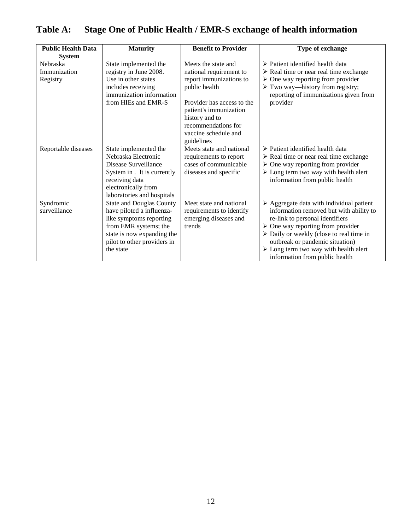| <b>Public Health Data</b><br><b>System</b> | <b>Maturity</b>                                                                                                                                                                            | <b>Benefit to Provider</b>                                                                                                                                                                                                        | Type of exchange                                                                                                                                                                                                                                                                                                                                                                  |
|--------------------------------------------|--------------------------------------------------------------------------------------------------------------------------------------------------------------------------------------------|-----------------------------------------------------------------------------------------------------------------------------------------------------------------------------------------------------------------------------------|-----------------------------------------------------------------------------------------------------------------------------------------------------------------------------------------------------------------------------------------------------------------------------------------------------------------------------------------------------------------------------------|
| Nebraska<br>Immunization<br>Registry       | State implemented the<br>registry in June 2008.<br>Use in other states<br>includes receiving<br>immunization information<br>from HIEs and EMR-S                                            | Meets the state and<br>national requirement to<br>report immunizations to<br>public health<br>Provider has access to the<br>patient's immunization<br>history and to<br>recommendations for<br>vaccine schedule and<br>guidelines | $\triangleright$ Patient identified health data<br>$\triangleright$ Real time or near real time exchange<br>$\triangleright$ One way reporting from provider<br>$\triangleright$ Two way—history from registry;<br>reporting of immunizations given from<br>provider                                                                                                              |
| Reportable diseases                        | State implemented the<br>Nebraska Electronic<br>Disease Surveillance<br>System in . It is currently<br>receiving data<br>electronically from<br>laboratories and hospitals                 | Meets state and national<br>requirements to report<br>cases of communicable<br>diseases and specific                                                                                                                              | $\triangleright$ Patient identified health data<br>$\triangleright$ Real time or near real time exchange<br>$\triangleright$ One way reporting from provider<br>$\triangleright$ Long term two way with health alert<br>information from public health                                                                                                                            |
| Syndromic<br>surveillance                  | <b>State and Douglas County</b><br>have piloted a influenza-<br>like symptoms reporting<br>from EMR systems; the<br>state is now expanding the<br>pilot to other providers in<br>the state | Meet state and national<br>requirements to identify<br>emerging diseases and<br>trends                                                                                                                                            | $\triangleright$ Aggregate data with individual patient<br>information removed but with ability to<br>re-link to personal identifiers<br>$\triangleright$ One way reporting from provider<br>$\triangleright$ Daily or weekly (close to real time in<br>outbreak or pandemic situation)<br>$\triangleright$ Long term two way with health alert<br>information from public health |

# **Table A: Stage One of Public Health / EMR-S exchange of health information**